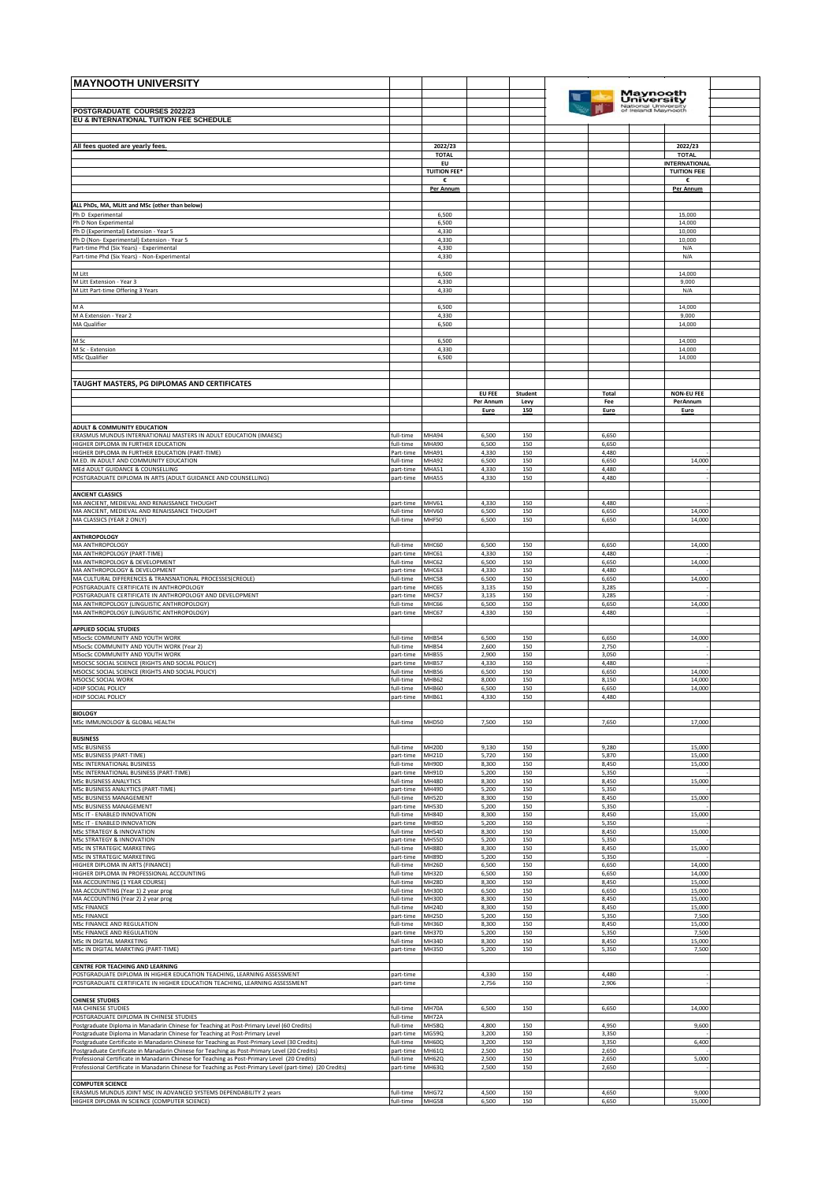| <b>MAYNOOTH UNIVERSITY</b>                                                                                                                                                                     |                        |                            |                   |             |                |                                            |  |
|------------------------------------------------------------------------------------------------------------------------------------------------------------------------------------------------|------------------------|----------------------------|-------------------|-------------|----------------|--------------------------------------------|--|
|                                                                                                                                                                                                |                        |                            |                   |             |                | Maynooth<br><b>University</b>              |  |
| POSTGRADUATE COURSES 2022/23<br>EU & INTERNATIONAL TUITION FEE SCHEDULE                                                                                                                        |                        |                            |                   |             |                | National University<br>of Ireland Maynooth |  |
|                                                                                                                                                                                                |                        |                            |                   |             |                |                                            |  |
| All fees quoted are yearly fees.                                                                                                                                                               |                        | 2022/23<br><b>TOTAL</b>    |                   |             |                | 2022/23<br><b>TOTAL</b>                    |  |
|                                                                                                                                                                                                |                        | EU<br><b>TUITION FEE*</b>  |                   |             |                | <b>INTERNATIONAL</b><br><b>TUITION FEE</b> |  |
|                                                                                                                                                                                                |                        | €<br>Per Annum             |                   |             |                | Per Annum                                  |  |
|                                                                                                                                                                                                |                        |                            |                   |             |                |                                            |  |
| ALL PhDs, MA, MLitt and MSc (other than below)<br>Ph D Experimental                                                                                                                            |                        | 6,500                      |                   |             |                | 15,000                                     |  |
| Ph D Non Experimental<br>Ph D (Experimental) Extension - Year 5                                                                                                                                |                        | 6,500<br>4,330             |                   |             |                | 14,000<br>10,000                           |  |
| Ph D (Non- Experimental) Extension - Year 5<br>Part-time Phd (Six Years) - Experimental                                                                                                        |                        | 4,330<br>4,330             |                   |             |                | 10,000<br>N/A                              |  |
| Part-time Phd (Six Years) - Non-Experimental                                                                                                                                                   |                        | 4,330                      |                   |             |                | N/A                                        |  |
| M Litt                                                                                                                                                                                         |                        | 6,500                      |                   |             |                | 14,000                                     |  |
| M Litt Extension - Year 3<br>M Litt Part-time Offering 3 Years                                                                                                                                 |                        | 4,330<br>4,330             |                   |             |                | 9,000<br>N/A                               |  |
| M A                                                                                                                                                                                            |                        | 6,500                      |                   |             |                | 14,000                                     |  |
| M A Extension - Year 2<br>MA Qualifier                                                                                                                                                         |                        | 4,330<br>6,500             |                   |             |                | 9.000<br>14,000                            |  |
|                                                                                                                                                                                                |                        |                            |                   |             |                |                                            |  |
| M Sc<br>M Sc - Extension                                                                                                                                                                       |                        | 6,500<br>4,330             |                   |             |                | 14,000<br>14,000                           |  |
| <b>MSc Qualifier</b>                                                                                                                                                                           |                        | 6,500                      |                   |             |                | 14,000                                     |  |
| TAUGHT MASTERS, PG DIPLOMAS AND CERTIFICATES                                                                                                                                                   |                        |                            |                   |             |                |                                            |  |
|                                                                                                                                                                                                |                        |                            | EU FEE            | Student     | Total          | <b>NON-EU FEE</b>                          |  |
|                                                                                                                                                                                                |                        |                            | Per Annum<br>Euro | Levy<br>150 | Fee<br>Euro    | PerAnnum<br>Euro                           |  |
| <b>ADULT &amp; COMMUNITY EDUCATION</b><br>ERASMUS MUNDUS INTERNATIONALI MASTERS IN ADULT EDUCATION (IMAESC)                                                                                    | full-time              | MHA94                      | 6,500             | 150         | 6,650          |                                            |  |
| HIGHER DIPLOMA IN FURTHER EDUCATION                                                                                                                                                            | full-time              | MHA90                      | 6,500             | 150         | 6,650          |                                            |  |
| HIGHER DIPLOMA IN FURTHER EDUCATION (PART-TIME)<br>M.ED. IN ADULT AND COMMUNITY EDUCATION                                                                                                      | Part-time<br>full-time | <b>MHA91</b><br>VIHA92     | 4,330<br>6,500    | 150<br>150  | 4,480<br>6,650 | 14,000                                     |  |
| MEd ADULT GUIDANCE & COUNSELLING<br>POSTGRADUATE DIPLOMA IN ARTS (ADULT GUIDANCE AND COUNSELLING)                                                                                              | part-time<br>part-time | VIHA51<br>MHA55            | 4,330<br>4,330    | 150<br>150  | 4,480<br>4,480 |                                            |  |
| <b>ANCIENT CLASSICS</b>                                                                                                                                                                        |                        |                            |                   |             |                |                                            |  |
| MA ANCIENT, MEDIEVAL AND RENAISSANCE THOUGHT                                                                                                                                                   | part-time              | MHV61                      | 4,330             | 150         | 4,480          |                                            |  |
| MA ANCIENT, MEDIEVAL AND RENAISSANCE THOUGHT<br>MA CLASSICS (YEAR 2 ONLY)                                                                                                                      | full-time<br>full-time | MHV60<br>MHF50             | 6,500<br>6,500    | 150<br>150  | 6,650<br>6,650 | 14,000<br>14,000                           |  |
| <b>ANTHROPOLOGY</b>                                                                                                                                                                            |                        |                            |                   |             |                |                                            |  |
| MA ANTHROPOLOGY<br>MA ANTHROPOLOGY (PART-TIME)                                                                                                                                                 | full-time<br>part-time | MHC60<br>MHC61             | 6,500<br>4,330    | 150<br>150  | 6,650<br>4,480 | 14,000                                     |  |
| MA ANTHROPOLOGY & DEVELOPMENT<br>MA ANTHROPOLOGY & DEVELOPMENT                                                                                                                                 | full-time<br>part-time | VIHC62<br>MHC63            | 6,500<br>4,330    | 150<br>150  | 6,650<br>4,480 | 14,000                                     |  |
| MA CULTURAL DIFFERENCES & TRANSNATIONAL PROCESSES(CREOLE)                                                                                                                                      | full-time              | VIHC58                     | 6,500             | 150         | 6,650          | 14,000                                     |  |
| POSTGRADUATE CERTIFICATE IN ANTHROPOLOGY<br>POSTGRADUATE CERTIFICATE IN ANTHROPOLOGY AND DEVELOPMENT                                                                                           | part-time<br>part-time | VIHC65<br>MHC57            | 3,135<br>3,135    | 150<br>150  | 3,285<br>3,285 |                                            |  |
| MA ANTHROPOLOGY (LINGUISTIC ANTHROPOLOGY)<br>MA ANTHROPOLOGY (LINGUISTIC ANTHROPOLOGY)                                                                                                         | full-time<br>part-time | MHC66<br>MHC67             | 6,500<br>4,330    | 150<br>150  | 6,650<br>4,480 | 14,000                                     |  |
| <b>APPLIED SOCIAL STUDIES</b>                                                                                                                                                                  |                        |                            |                   |             |                |                                            |  |
| MSocSc COMMUNITY AND YOUTH WORK<br>MSocSc COMMUNITY AND YOUTH WORK (Year 2)                                                                                                                    | full-time<br>full-time | <b>MHB54</b><br>MHB54      | 6,500<br>2,600    | 150<br>150  | 6,650<br>2,750 | 14,000                                     |  |
| MSocSc COMMUNITY AND YOUTH WORK                                                                                                                                                                | part-time              | MHB55                      | 2,900             | 150         | 3,050          |                                            |  |
| MSOCSC SOCIAL SCIENCE (RIGHTS AND SOCIAL POLICY)<br>MSOCSC SOCIAL SCIENCE (RIGHTS AND SOCIAL POLICY)                                                                                           | part-time<br>full-time | MHB57<br><b>MHB56</b>      | 4,330<br>6,500    | 150<br>150  | 4,480<br>6,650 | 14,000                                     |  |
| MSOCSC SOCIAL WORK<br>HDIP SOCIAL POLICY                                                                                                                                                       | full-time<br>full-time | VIHB62<br><b>MHB60</b>     | 8,000<br>6,500    | 150<br>150  | 8,150<br>6,650 | 14,000<br>14,000                           |  |
| HDIP SOCIAL POLICY                                                                                                                                                                             | part-time              | MHB61                      | 4,330             | 150         | 4,480          |                                            |  |
| <b>BIOLOGY</b><br>MSc IMMUNOLOGY & GLOBAL HEALTH                                                                                                                                               | full-time              | MHD50                      | 7,500             | 150         | 7,650          | 17,000                                     |  |
| <b>BUSINESS</b>                                                                                                                                                                                |                        |                            |                   |             |                |                                            |  |
| MSc BUSINESS                                                                                                                                                                                   | full-time              | MH20D                      | 9,130             | 150         | 9,280          | 15,000                                     |  |
| MSc BUSINESS (PART-TIME)<br>MSc INTERNATIONAL BUSINESS                                                                                                                                         | part-time<br>full-time | MH21D<br>MH90D             | 5,720<br>8,300    | 150<br>150  | 5,870<br>8,450 | 15,000<br>15,000                           |  |
| MSc INTERNATIONAL BUSINESS (PART-TIME)<br>MSc BUSINESS ANALYTICS                                                                                                                               | part-time<br>full-time | MH91D<br>MH <sub>48D</sub> | 5,200<br>8,300    | 150<br>150  | 5,350<br>8,450 | 15,000                                     |  |
| MSc BUSINESS ANALYTICS (PART-TIME)<br>MSc BUSINESS MANAGEMENT                                                                                                                                  | part-time<br>full-time | MH49D<br><b>MH52D</b>      | 5,200<br>8,300    | 150<br>150  | 5,350<br>8,450 | 15,000                                     |  |
| MSc BUSINESS MANAGEMENT<br>MSc IT - ENABLED INNOVATION                                                                                                                                         | part-time              | MH53D                      | 5,200             | 150         | 5,350          |                                            |  |
| MSc IT - ENABLED INNOVATION                                                                                                                                                                    | full-time<br>part-time | MH84D<br><b>MH85D</b>      | 8,300<br>5,200    | 150<br>150  | 8,450<br>5,350 | 15,000                                     |  |
| MSc STRATEGY & INNOVATION<br>MSc STRATEGY & INNOVATION                                                                                                                                         | full-time<br>part-time | MH54D<br><b>MH55D</b>      | 8,300<br>5,200    | 150<br>150  | 8,450<br>5,350 | 15,000                                     |  |
| MSc IN STRATEGIC MARKETING<br>MSc IN STRATEGIC MARKETING                                                                                                                                       | full-time<br>part-time | VIH88D<br>MH89D            | 8,300<br>5,200    | 150<br>150  | 8,450<br>5,350 | 15,000                                     |  |
| HIGHER DIPLOMA IN ARTS (FINANCE)<br>HIGHER DIPLOMA IN PROFESSIONAL ACCOUNTING                                                                                                                  | full-time<br>full-time | MH26D<br>MH32D             | 6,500<br>6,500    | 150<br>150  | 6,650<br>6,650 | 14,000<br>14,000                           |  |
| MA ACCOUNTING (1 YEAR COURSE)                                                                                                                                                                  | full-time              | MH28D                      | 8,300             | 150         | 8,450          | 15,000                                     |  |
| MA ACCOUNTING (Year 1) 2 year prog<br>MA ACCOUNTING (Year 2) 2 year prog                                                                                                                       | full-time<br>full-time | MH30D<br>MH30D             | 6,500<br>8,300    | 150<br>150  | 6,650<br>8,450 | 15,000<br>15,000                           |  |
| <b>MSc FINANCE</b><br><b>MSc FINANCE</b>                                                                                                                                                       | full-time<br>part-time | MH24D<br>MH25D             | 8,300<br>5,200    | 150<br>150  | 8,450<br>5,350 | 15,000<br>7,500                            |  |
| MSc FINANCE AND REGULATION<br>MSc FINANCE AND REGULATION                                                                                                                                       | full-time<br>part-time | MH36D<br>MH37D             | 8,300<br>5,200    | 150<br>150  | 8,450<br>5,350 | 15,000<br>7,500                            |  |
| MSc IN DIGITAL MARKETING<br>MSc IN DIGITAL MARKTING (PART-TIME)                                                                                                                                | full-time<br>part-time | MH34D<br>MH35D             | 8,300<br>5,200    | 150<br>150  | 8,450<br>5,350 | 15,000<br>7,500                            |  |
| <b>CENTRE FOR TEACHING AND LEARNING</b>                                                                                                                                                        |                        |                            |                   |             |                |                                            |  |
| POSTGRADUATE DIPLOMA IN HIGHER EDUCATION TEACHING, LEARNING ASSESSMENT                                                                                                                         | part-time              |                            | 4,330             | 150         | 4,480          |                                            |  |
| POSTGRADUATE CERTIFICATE IN HIGHER EDUCATION TEACHING, LEARNING ASSESSMENT                                                                                                                     | part-time              |                            | 2,756             | 150         | 2,906          |                                            |  |
| <b>CHINESE STUDIES</b><br>MA CHINESE STUDIES                                                                                                                                                   | full-time              | MH70A                      | 6,500             | 150         | 6,650          | 14,000                                     |  |
| POSTGRADUATE DIPLOMA IN CHINESE STUDIES<br>Postgraduate Diploma in Manadarin Chinese for Teaching at Post-Primary Level (60 Credits)                                                           | full-time<br>full-time | MH72A<br><b>MH58Q</b>      | 4,800             | 150         | 4,950          | 9,600                                      |  |
| Postgraduate Diploma in Manadarin Chinese for Teaching at Post-Primary Level<br>Postgraduate Certificate in Manadarin Chinese for Teaching as Post-Primary Level (30 Credits)                  | part-time<br>full-time | MG59Q<br><b>MH60Q</b>      | 3,200<br>3,200    | 150<br>150  | 3,350<br>3,350 | 6,400                                      |  |
| Postgraduate Certificate in Manadarin Chinese for Teaching as Post-Primary Level (20 Credits)<br>Professional Certificate in Manadarin Chinese for Teaching as Post-Primary Level (20 Credits) | part-time<br>full-time | MH61Q<br><b>MH62Q</b>      | 2,500<br>2,500    | 150<br>150  | 2,650<br>2,650 | 5,000                                      |  |
| Professional Certificate in Manadarin Chinese for Teaching as Post-Primary Level (part-time) (20 Credits)                                                                                      | part-time              | MH63Q                      | 2,500             | 150         | 2,650          |                                            |  |
| <b>COMPUTER SCIENCE</b>                                                                                                                                                                        |                        |                            |                   |             |                |                                            |  |
| ERASMUS MUNDUS JOINT MSC IN ADVANCED SYSTEMS DEPENDABILITY 2 years<br>HIGHER DIPLOMA IN SCIENCE (COMPUTER SCIENCE)                                                                             | full-time<br>full-time | MHG72<br>MHG58             | 4,500<br>6,500    | 150<br>150  | 4,650<br>6,650 | 9,000<br>15,000                            |  |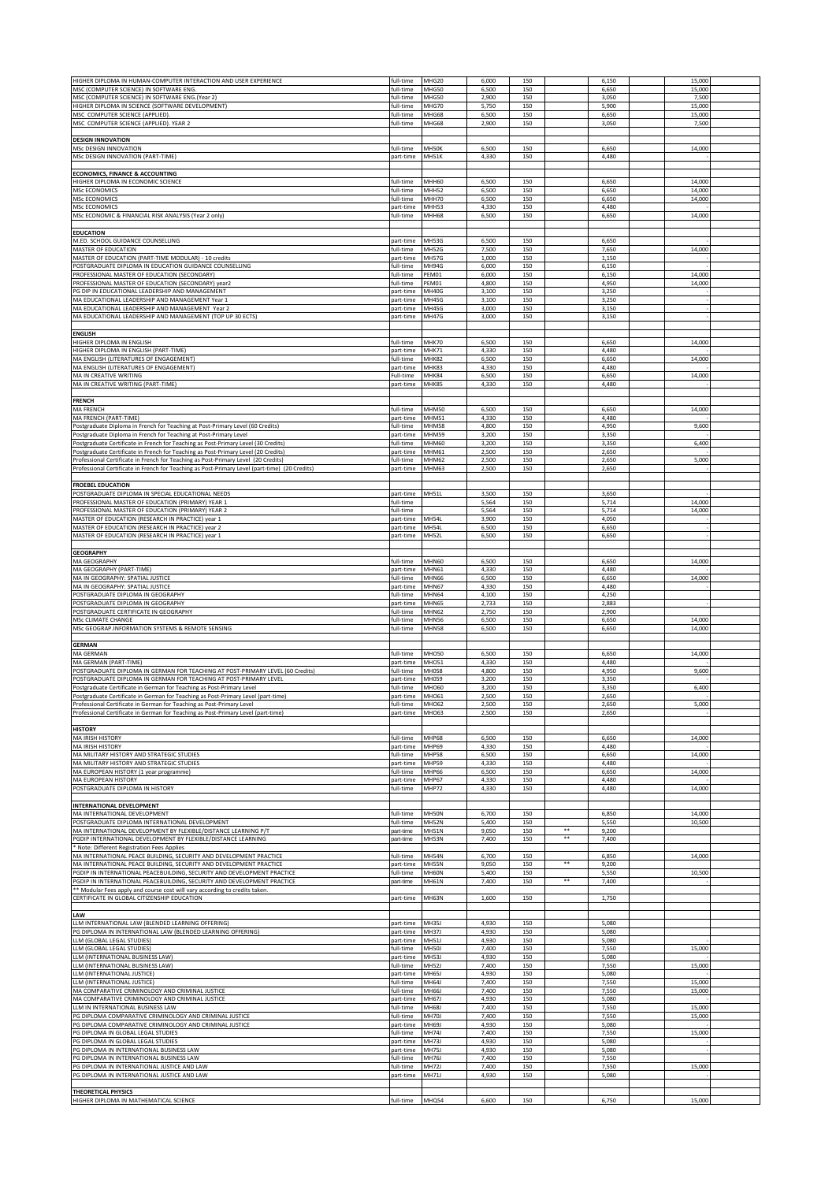| HIGHER DIPLOMA IN HUMAN-COMPUTER INTERACTION AND USER EXPERIENCE                                                                                                         | full-time              | MHG20                        | 6,000          | 150        | 6,150          |       | 15,000           |  |
|--------------------------------------------------------------------------------------------------------------------------------------------------------------------------|------------------------|------------------------------|----------------|------------|----------------|-------|------------------|--|
| MSC (COMPUTER SCIENCE) IN SOFTWARE ENG.                                                                                                                                  | full-time              | MHG50                        | 6,500          | 150        | 6,650          |       | 15,000           |  |
| MSC (COMPUTER SCIENCE) IN SOFTWARE ENG.(Year 2)                                                                                                                          | full-time              | MHG50                        | 2,900          | 150        | 3,050          |       | 7,500            |  |
| HIGHER DIPLOMA IN SCIENCE (SOFTWARE DEVELOPMENT)                                                                                                                         | full-time              | MHG70                        | 5,750          | 150        | 5,900          |       | 15,000           |  |
| MSC COMPUTER SCIENCE (APPLIED).<br>MSC COMPUTER SCIENCE (APPLIED). YEAR 2                                                                                                | full-time              | MHG68<br>MHG68               | 6,500<br>2,900 | 150<br>150 | 6,650<br>3,050 |       | 15,000           |  |
|                                                                                                                                                                          | full-time              |                              |                |            |                |       | 7,500            |  |
| <b>DESIGN INNOVATION</b>                                                                                                                                                 |                        |                              |                |            |                |       |                  |  |
| MSc DESIGN INNOVATION                                                                                                                                                    | full-time              | MH50K                        | 6,500          | 150        | 6,650          |       | 14,000           |  |
| MSc DESIGN INNOVATION (PART-TIME)                                                                                                                                        | part-time              | <b>MH51K</b>                 | 4,330          | 150        | 4,480          |       |                  |  |
| <b>ECONOMICS, FINANCE &amp; ACCOUNTING</b>                                                                                                                               |                        |                              |                |            |                |       |                  |  |
| HIGHER DIPLOMA IN ECONOMIC SCIENCE                                                                                                                                       | full-time              | MHH60                        | 6,500          | 150        | 6,650          |       | 14,000           |  |
| <b>MSc ECONOMICS</b>                                                                                                                                                     | full-time              | MHH52                        | 6,500          | 150        | 6,650          |       | 14,000           |  |
| <b>MSc ECONOMICS</b>                                                                                                                                                     | full-time              | MHH70                        | 6,500          | 150        | 6,650          |       | 14,000           |  |
| MSc ECONOMICS<br>MSc ECONOMIC & FINANCIAL RISK ANALYSIS (Year 2 only)                                                                                                    | part-time              | MHH53<br><b>MHH68</b>        | 4,330<br>6,500 | 150<br>150 | 4,480          |       |                  |  |
|                                                                                                                                                                          | full-time              |                              |                |            | 6,650          |       | 14,000           |  |
| <b>EDUCATION</b>                                                                                                                                                         |                        |                              |                |            |                |       |                  |  |
| M.ED. SCHOOL GUIDANCE COUNSELLING                                                                                                                                        | part-time              | MH53G                        | 6,500          | 150        | 6,650          |       |                  |  |
| MASTER OF EDUCATION<br>MASTER OF EDUCATION (PART-TIME MODULAR) - 10 credits                                                                                              | full-time              | MH52G<br>MH57G               | 7,500<br>1,000 | 150<br>150 | 7,650<br>1,150 |       | 14,000           |  |
| POSTGRADUATE DIPLOMA IN EDUCATION GUIDANCE COUNSELLING                                                                                                                   | part-time<br>full-time | MH94G                        | 6,000          | 150        | 6,150          |       |                  |  |
| PROFESSIONAL MASTER OF EDUCATION (SECONDARY)                                                                                                                             | full-time              | PEM01                        | 6,000          | 150        | 6,150          |       | 14,000           |  |
| PROFESSIONAL MASTER OF EDUCATION (SECONDARY) year2                                                                                                                       | full-time              | EM01                         | 4,800          | 150        | 4,950          |       | 14,000           |  |
| PG DIP IN EDUCATIONAL LEADERSHIP AND MANAGEMENT                                                                                                                          | part-time              | MH40G                        | 3,100          | 150        | 3,250          |       |                  |  |
| MA EDUCATIONAL LEADERSHIP AND MANAGEMENT Year 1<br>MA EDUCATIONAL LEADERSHIP AND MANAGEMENT Year 2                                                                       | part-time<br>part-time | MH45G<br>MH45G               | 3,100<br>3,000 | 150<br>150 | 3,250<br>3,150 |       |                  |  |
| MA EDUCATIONAL LEADERSHIP AND MANAGEMENT (TOP UP 30 ECTS)                                                                                                                | part-time              | MH47G                        | 3,000          | 150        | 3,150          |       |                  |  |
|                                                                                                                                                                          |                        |                              |                |            |                |       |                  |  |
| <b>ENGLISH</b>                                                                                                                                                           |                        |                              |                |            |                |       |                  |  |
| HIGHER DIPLOMA IN ENGLISH<br>HIGHER DIPLOMA IN ENGLISH (PART-TIME)                                                                                                       | full-time<br>part-time | MHK70<br>MHK71               | 6,500<br>4,330 | 150<br>150 | 6,650<br>4,480 |       | 14,000           |  |
| MA ENGLISH (LITERATURES OF ENGAGEMENT)                                                                                                                                   | full-time              | MHK82                        | 6,500          | 150        | 6,650          |       | 14,000           |  |
| MA ENGLISH (LITERATURES OF ENGAGEMENT)                                                                                                                                   | part-time              | MHK83                        | 4,330          | 150        | 4,480          |       |                  |  |
| MA IN CREATIVE WRITING                                                                                                                                                   | Full-time              | MHK84                        | 6,500          | 150        | 6,650          |       | 14,000           |  |
| MA IN CREATIVE WRITING (PART-TIME)                                                                                                                                       | part-time              | MHK85                        | 4,330          | 150        | 4,480          |       |                  |  |
| <b>FRENCH</b>                                                                                                                                                            |                        |                              |                |            |                |       |                  |  |
| <b>MA FRENCH</b>                                                                                                                                                         | full-time              | MHM50                        | 6,500          | 150        | 6,650          |       | 14,000           |  |
| MA FRENCH (PART-TIME)                                                                                                                                                    | part-time              | MHM51                        | 4,330          | 150        | 4,480          |       |                  |  |
| Postgraduate Diploma in French for Teaching at Post-Primary Level (60 Credits)                                                                                           | full-time              | <b>MHM58</b>                 | 4,800          | 150        | 4,950          |       | 9,600            |  |
| Postgraduate Diploma in French for Teaching at Post-Primary Level                                                                                                        | part-time              | MHM59<br>MHM60               | 3,200          | 150        | 3,350          |       |                  |  |
| Postgraduate Certificate in French for Teaching as Post-Primary Level (30 Credits)<br>Postgraduate Certificate in French for Teaching as Post-Primary Level (20 Credits) | full-time<br>part-time | MHM61                        | 3,200<br>2,500 | 150<br>150 | 3,350<br>2,650 |       | 6,400            |  |
| Professional Certificate in French for Teaching as Post-Primary Level (20 Credits)                                                                                       | full-time              | MHM62                        | 2,500          | 150        | 2,650          |       | 5,000            |  |
| Professional Certificate in French for Teaching as Post-Primary Level (part-time) (20 Credits)                                                                           | part-time              | MHM63                        | 2,500          | 150        | 2,650          |       |                  |  |
|                                                                                                                                                                          |                        |                              |                |            |                |       |                  |  |
| <b>FROEBEL EDUCATION</b><br>POSTGRADUATE DIPLOMA IN SPECIAL EDUCATIONAL NEEDS                                                                                            | part-time              | <b>MH51L</b>                 | 3,500          | 150        | 3,650          |       |                  |  |
| PROFESSIONAL MASTER OF EDUCATION (PRIMARY) YEAR 1                                                                                                                        | full-time              |                              | 5,564          | 150        | 5,714          |       | 14,000           |  |
| PROFESSIONAL MASTER OF EDUCATION (PRIMARY) YEAR 2                                                                                                                        | full-time              |                              | 5,564          | 150        | 5,714          |       | 14,000           |  |
| MASTER OF EDUCATION (RESEARCH IN PRACTICE) year 1                                                                                                                        | part-time              | MH54L                        | 3,900          | 150        | 4,050          |       |                  |  |
| MASTER OF EDUCATION (RESEARCH IN PRACTICE) year 2<br>MASTER OF EDUCATION (RESEARCH IN PRACTICE) year 1                                                                   | part-time              | MH54L                        | 6,500          | 150        | 6,650          |       |                  |  |
|                                                                                                                                                                          | part-time              | <b>MH52L</b>                 | 6,500          | 150        | 6,650          |       |                  |  |
| <b>GEOGRAPHY</b>                                                                                                                                                         |                        |                              |                |            |                |       |                  |  |
| MA GEOGRAPHY                                                                                                                                                             | full-time              | MHN60                        | 6,500          | 150        | 6,650          |       | 14,000           |  |
| MA GEOGRAPHY (PART-TIME)                                                                                                                                                 | part-time              | MHN61                        | 4,330          | 150        | 4,480          |       |                  |  |
| MA IN GEOGRAPHY: SPATIAL JUSTICE<br>MA IN GEOGRAPHY: SPATIAL JUSTICE                                                                                                     | full-time<br>part-time | MHN66<br>MHN67               | 6,500<br>4,330 | 150<br>150 | 6,650<br>4,480 |       | 14,000           |  |
| POSTGRADUATE DIPLOMA IN GEOGRAPHY                                                                                                                                        | full-time              | MHN64                        | 4,100          | 150        | 4,250          |       |                  |  |
| POSTGRADUATE DIPLOMA IN GEOGRAPHY                                                                                                                                        | part-time              | <b>MHN65</b>                 | 2,733          | 150        | 2,883          |       |                  |  |
| POSTGRADUATE CERTIFICATE IN GEOGRAPHY                                                                                                                                    | full-time              | MHN62                        | 2,750          | 150        | 2,900          |       |                  |  |
| MSc CLIMATE CHANGE<br>MSc GEOGRAP.INFORMATION SYSTEMS & REMOTE SENSING                                                                                                   | full-time<br>full-time | <b>MHN56</b><br><b>MHN58</b> | 6,500<br>6,500 | 150<br>150 | 6,650<br>6,650 |       | 14,000<br>14,000 |  |
|                                                                                                                                                                          |                        |                              |                |            |                |       |                  |  |
| <b>GERMAN</b>                                                                                                                                                            |                        |                              |                |            |                |       |                  |  |
| MA GERMAN                                                                                                                                                                | full-time              | MHO50                        | 6,500          | 150        | 6,650          |       | 14,000           |  |
| MA GERMAN (PART-TIME)<br>POSTGRADUATE DIPLOMA IN GERMAN FOR TEACHING AT POST-PRIMARY LEVEL (60 Credits)                                                                  | part-time              | MHO51                        | 4,330          | 150        | 4,480          |       |                  |  |
| POSTGRADUATE DIPLOMA IN GERMAN FOR TEACHING AT POST-PRIMARY LEVEL                                                                                                        | full-time<br>part-time | MH058<br>MH059               | 4,800<br>3,200 | 150<br>150 | 4,950<br>3,350 |       | 9,600            |  |
| Postgraduate Certificate in German for Teaching as Post-Primary Level                                                                                                    | full-time              | MHO60                        | 3,200          | 150        | 3,350          |       | 6,400            |  |
| Postgraduate Certificate in German for Teaching as Post-Primary Level (part-time)                                                                                        | part-time              | MH061                        | 2,500          | 150        | 2,650          |       |                  |  |
| Professional Certificate in German for Teaching as Post-Primary Level                                                                                                    | full-time              | MHO62                        | 2,500          | 150        | 2,650          |       | 5,000            |  |
| Professional Certificate in German for Teaching as Post-Primary Level (part-time)                                                                                        | part-time              | MH063                        | 2,500          | 150        | 2,650          |       |                  |  |
| <b>HISTORY</b>                                                                                                                                                           |                        |                              |                |            |                |       |                  |  |
| <b>MA IRISH HISTORY</b>                                                                                                                                                  | full-time              | <b>MHP68</b>                 | 6,500          | 150        | 6,650          |       | 14,000           |  |
| MA IRISH HISTORY                                                                                                                                                         | part-time              | MHP69                        | 4,330          | 150        | 4,480          |       |                  |  |
| MA MILITARY HISTORY AND STRATEGIC STUDIES                                                                                                                                | full-time              | <b>MHP58</b>                 | 6,500          | 150        | 6,650          |       | 14,000           |  |
| MA MILITARY HISTORY AND STRATEGIC STUDIES<br>MA EUROPEAN HISTORY (1 year programme)                                                                                      | part-time<br>full-time | MHP59<br>MHP66               | 4,330<br>6,500 | 150<br>150 | 4,480<br>6,650 |       | 14,000           |  |
| MA EUROPEAN HISTORY                                                                                                                                                      | part-time              | MHP67                        | 4,330          | 150        | 4,480          |       |                  |  |
| POSTGRADUATE DIPLOMA IN HISTORY                                                                                                                                          | full-time              | MHP72                        | 4,330          | 150        | 4,480          |       | 14,000           |  |
| INTERNATIONAL DEVELOPMENT                                                                                                                                                |                        |                              |                |            |                |       |                  |  |
| MA INTERNATIONAL DEVELOPMENT                                                                                                                                             | full-time              | MH50N                        | 6,700          | 150        | 6,850          |       | 14,000           |  |
| POSTGRADUATE DIPLOMA INTERNATIONAL DEVELOPMENT                                                                                                                           | full-time              | MH52N                        | 5,400          | 150        | 5,550          |       | 10,500           |  |
| MA INTERNATIONAL DEVELOPMENT BY FLEXIBLE/DISTANCE LEARNING P/T                                                                                                           | part-time              | <b>MH51N</b>                 | 9,050          | 150        | **<br>9,200    |       |                  |  |
| PGDIP INTERNATIONAL DEVELOPMENT BY FLEXIBLE/DISTANCE LEARNING                                                                                                            | part-time              | MH53N                        | 7,400          | 150        | $***$<br>7,400 |       |                  |  |
| Note: Different Registration Fees Applies<br>MA INTERNATIONAL PEACE BUILDING, SECURITY AND DEVELOPMENT PRACTICE                                                          | full-time              | MH54N                        | 6,700          | 150        | 6,850          |       | 14,000           |  |
| MA INTERNATIONAL PEACE BUILDING, SECURITY AND DEVELOPMENT PRACTICE                                                                                                       | part-time              | MH55N                        | 9,050          | 150        | **<br>9,200    |       |                  |  |
| PGDIP IN INTERNATIONAL PEACEBUILDING, SECURITY AND DEVELOPMENT PRACTICE                                                                                                  | full-time              | MH60N                        | 5,400          | 150        | 5,550          |       | 10,500           |  |
| PGDIP IN INTERNATIONAL PEACEBUILDING, SECURITY AND DEVELOPMENT PRACTICE                                                                                                  | part-time              | MH61N                        | 7,400          | 150        | $***$<br>7,400 |       |                  |  |
| ** Modular Fees apply and course cost will vary according to credits taken.<br>CERTIFICATE IN GLOBAL CITIZENSHIP EDUCATION                                               | part-time              | MH63N                        | 1,600          | 150        | 1,750          |       |                  |  |
|                                                                                                                                                                          |                        |                              |                |            |                |       |                  |  |
| LAW                                                                                                                                                                      |                        |                              |                |            |                |       |                  |  |
| LLM INTERNATIONAL LAW (BLENDED LEARNING OFFERING)                                                                                                                        | part-time              | <b>MH35J</b>                 | 4,930          | 150        | 5,080          |       |                  |  |
| PG DIPLOMA IN INTERNATIONAL LAW (BLENDED LEARNING OFFERING)<br>LLM (GLOBAL LEGAL STUDIES)                                                                                | part-time<br>part-time | MH37J<br>MH51J               | 4,930<br>4,930 | 150<br>150 | 5,080<br>5,080 |       |                  |  |
| LLM (GLOBAL LEGAL STUDIES)                                                                                                                                               | full-time              | <b>MH50J</b>                 | 7,400          | 150        |                | 7,550 | 15,000           |  |
| LLM (INTERNATIONAL BUSINESS LAW)                                                                                                                                         | part-time              | MH53J                        | 4,930          | 150        | 5,080          |       |                  |  |
| LLM (INTERNATIONAL BUSINESS LAW)                                                                                                                                         | full-time              | <b>MH52J</b>                 | 7,400          | 150        | 7,550          |       | 15,000           |  |
| LLM (INTERNATIONAL JUSTICE)<br>LLM (INTERNATIONAL JUSTICE)                                                                                                               | part-time              | MH65J                        | 4,930          | 150        | 5,080          |       |                  |  |
| MA COMPARATIVE CRIMINOLOGY AND CRIMINAL JUSTICE                                                                                                                          | full-time<br>full-time | MH64J<br>MH66J               | 7,400<br>7,400 | 150<br>150 | 7,550          | 7,550 | 15,000<br>15,000 |  |
| MA COMPARATIVE CRIMINOLOGY AND CRIMINAL JUSTICE                                                                                                                          | part-time              | MH67J                        | 4,930          | 150        | 5,080          |       |                  |  |
| LLM IN INTERNATIONAL BUSINESS LAW                                                                                                                                        | full-time              | MH68J                        | 7,400          | 150        |                | 7,550 | 15,000           |  |
| PG DIPLOMA COMPARATIVE CRIMINOLOGY AND CRIMINAL JUSTICE<br>PG DIPLOMA COMPARATIVE CRIMINOLOGY AND CRIMINAL JUSTICE                                                       | full-time              | <b>MH70J</b><br>MH69J        | 7,400<br>4,930 | 150<br>150 | 5,080          | 7,550 | 15,000           |  |
| PG DIPLOMA IN GLOBAL LEGAL STUDIES                                                                                                                                       | part-time<br>full-time | MH74J                        | 7,400          | 150        |                | 7,550 | 15,000           |  |
| PG DIPLOMA IN GLOBAL LEGAL STUDIES                                                                                                                                       | part-time              | MH73J                        | 4,930          | 150        | 5,080          |       |                  |  |
| PG DIPLOMA IN INTERNATIONAL BUSINESS LAW                                                                                                                                 | part-time              | MH75J                        | 4,930          | 150        | 5,080          |       |                  |  |
| PG DIPLOMA IN INTERNATIONAL BUSINESS LAW                                                                                                                                 | full-time              | MH76J                        | 7,400          | 150        | 7,550          |       |                  |  |
| PG DIPLOMA IN INTERNATIONAL JUSTICE AND LAW<br>PG DIPLOMA IN INTERNATIONAL JUSTICE AND LAW                                                                               | full-time<br>part-time | MH72J<br>MH71J               | 7,400<br>4,930 | 150<br>150 | 7,550<br>5,080 |       | 15,000           |  |
|                                                                                                                                                                          |                        |                              |                |            |                |       |                  |  |
| <b>THEORETICAL PHYSICS</b><br>HIGHER DIPLOMA IN MATHEMATICAL SCIENCE                                                                                                     |                        |                              |                |            |                |       |                  |  |
|                                                                                                                                                                          | full-time              | MHQ54                        | 6,600          | 150        | 6,750          |       | 15,000           |  |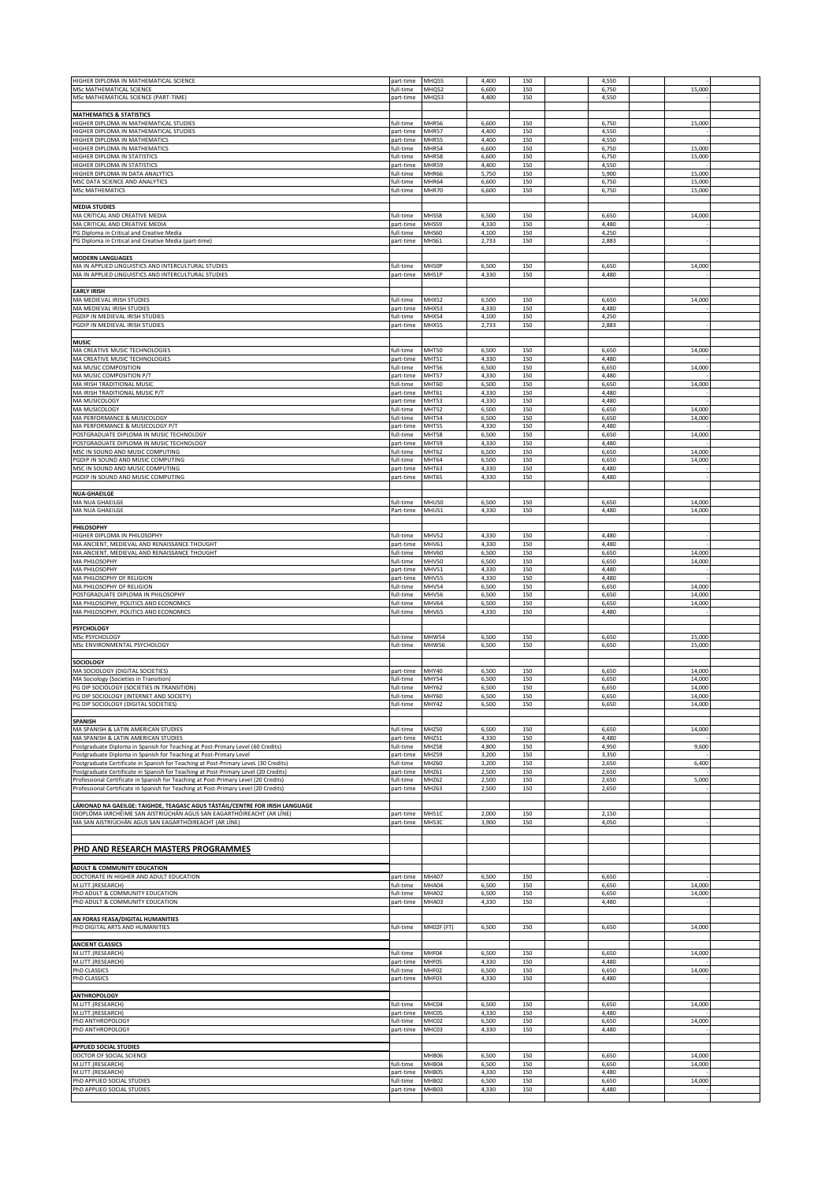| HIGHER DIPLOMA IN MATHEMATICAL SCIENCE                                                                                                                                      | part-time              | MHQ55                 | 4,400          | 150        | 4,550          |                  |  |
|-----------------------------------------------------------------------------------------------------------------------------------------------------------------------------|------------------------|-----------------------|----------------|------------|----------------|------------------|--|
| MSc MATHEMATICAL SCIENCE                                                                                                                                                    | full-time              | MHQ52                 | 6,600          | 150        | 6,750          | 15,000           |  |
| MSc MATHEMATICAL SCIENCE (PART-TIME)                                                                                                                                        | part-time              | MHQ53                 | 4,400          | 150        | 4,550          |                  |  |
| <b>MATHEMATICS &amp; STATISTICS</b>                                                                                                                                         |                        |                       |                |            |                |                  |  |
| HIGHER DIPLOMA IN MATHEMATICAL STUDIES                                                                                                                                      | full-time              | MHR56                 | 6,600          | 150        | 6,750          | 15,000           |  |
| HIGHER DIPLOMA IN MATHEMATICAL STUDIES<br>HIGHER DIPLOMA IN MATHEMATICS                                                                                                     | part-time<br>part-time | MHR57<br>MHR55        | 4,400<br>4,400 | 150<br>150 | 4,550<br>4,550 |                  |  |
| HIGHER DIPLOMA IN MATHEMATICS                                                                                                                                               | full-time              | MHR54                 | 6,600          | 150        | 6,750          | 15,000           |  |
| HIGHER DIPLOMA IN STATISTICS                                                                                                                                                | full-time              | MHR58                 | 6,600<br>4,400 | 150<br>150 | 6,750<br>4,550 | 15,000           |  |
| HIGHER DIPLOMA IN STATISTICS<br>HIGHER DIPLOMA IN DATA ANALYTICS                                                                                                            | part-time<br>full-time | MHR59<br>MHR66        | 5,750          | 150        | 5,900          | 15,000           |  |
| MSC DATA SCIENCE AND ANALYTICS                                                                                                                                              | full-time              | MHR64                 | 6,600          | 150        | 6,750          | 15,000           |  |
| <b>MSc MATHEMATICS</b>                                                                                                                                                      | full-time              | MHR70                 | 6,600          | 150        | 6,750          | 15,000           |  |
| <b>MEDIA STUDIES</b>                                                                                                                                                        |                        |                       |                |            |                |                  |  |
| MA CRITICAL AND CREATIVE MEDIA                                                                                                                                              | full-time              | <b>MHS58</b>          | 6,500          | 150        | 6,650          | 14,000           |  |
| MA CRITICAL AND CREATIVE MEDIA<br>PG Diploma in Critical and Creative Media                                                                                                 | part-time<br>full-time | MHS59<br><b>MHS60</b> | 4,330<br>4,100 | 150<br>150 | 4,480<br>4,250 |                  |  |
| PG Diploma in Critical and Creative Media (part-time)                                                                                                                       | part-time              | MHS61                 | 2,733          | 150        | 2,883          |                  |  |
|                                                                                                                                                                             |                        |                       |                |            |                |                  |  |
| <b>MODERN LANGUAGES</b><br>MA IN APPLIED LINGUISTICS AND INTERCULTURAL STUDIES                                                                                              | full-time              | MH50P                 | 6,500          | 150        | 6,650          | 14,000           |  |
| MA IN APPLIED LINGUISTICS AND INTERCULTURAL STUDIES                                                                                                                         | part-time              | MH51P                 | 4,330          | 150        | 4,480          |                  |  |
|                                                                                                                                                                             |                        |                       |                |            |                |                  |  |
| <b>EARLY IRISH</b><br>MA MEDIEVAL IRISH STUDIES                                                                                                                             | full-time              | MHX52                 | 6,500          | 150        | 6,650          | 14,000           |  |
| MA MEDIEVAL IRISH STUDIES                                                                                                                                                   | part-time              | MHX53                 | 4,330          | 150        | 4,480          |                  |  |
| PGDIP IN MEDIEVAL IRISH STUDIES                                                                                                                                             | full-time              | MHX54                 | 4,100          | 150        | 4,250          |                  |  |
| PGDIP IN MEDIEVAL IRISH STUDIES                                                                                                                                             | part-time              | MHX55                 | 2,733          | 150        | 2,883          |                  |  |
| <b>MUSIC</b>                                                                                                                                                                |                        |                       |                |            |                |                  |  |
| MA CREATIVE MUSIC TECHNOLOGIES<br>MA CREATIVE MUSIC TECHNOLOGIES                                                                                                            | full-time              | MHT50<br>MHT51        | 6,500<br>4,330 | 150<br>150 | 6,650<br>4,480 | 14,000           |  |
| MA MUSIC COMPOSITION                                                                                                                                                        | part-time<br>full-time | MHT56                 | 6,500          | 150        | 6,650          | 14,000           |  |
| MA MUSIC COMPOSITION P/T                                                                                                                                                    | part-time              | MHT57                 | 4,330          | 150        | 4,480          |                  |  |
| MA IRISH TRADITIONAL MUSIC<br>MA IRISH TRADITIONAL MUSIC P/T                                                                                                                | full-time              | MHT60                 | 6,500          | 150        | 6,650          | 14,000           |  |
| MA MUSICOLOGY                                                                                                                                                               | part-time<br>part-time | MHT61<br>MHT53        | 4,330<br>4,330 | 150<br>150 | 4,480<br>4,480 |                  |  |
| MA MUSICOLOGY                                                                                                                                                               | full-time              | MHT52                 | 6,500          | 150        | 6,650          | 14,000           |  |
| MA PERFORMANCE & MUSICOLOGY                                                                                                                                                 | full-time              | MHT54                 | 6,500<br>4,330 | 150<br>150 | 6,650<br>4,480 | 14,000           |  |
| MA PERFORMANCE & MUSICOLOGY P/T<br>POSTGRADUATE DIPLOMA IN MUSIC TECHNOLOGY                                                                                                 | part-time<br>full-time | MHT55<br>MHT58        | 6,500          | 150        | 6,650          | 14,000           |  |
| POSTGRADUATE DIPLOMA IN MUSIC TECHNOLOGY                                                                                                                                    | part-time              | MHT59                 | 4,330          | 150        | 4,480          |                  |  |
| MSC IN SOUND AND MUSIC COMPUTING<br>PGDIP IN SOUND AND MUSIC COMPUTING                                                                                                      | full-time<br>full-time | MHT62<br>MHT64        | 6,500<br>6,500 | 150<br>150 | 6,650<br>6,650 | 14,000<br>14,000 |  |
| MSC IN SOUND AND MUSIC COMPUTING                                                                                                                                            | part-time              | MHT63                 | 4,330          | 150        | 4,480          |                  |  |
| PGDIP IN SOUND AND MUSIC COMPUTING                                                                                                                                          | part-time              | MHT65                 | 4,330          | 150        | 4,480          |                  |  |
| <b>NUA-GHAEILGE</b>                                                                                                                                                         |                        |                       |                |            |                |                  |  |
| MA NUA GHAEILGE                                                                                                                                                             | full-time              | <b>MHU50</b>          | 6,500          | 150        | 6,650          | 14,000           |  |
| MA NUA GHAEILGE                                                                                                                                                             | Part-time              | <b>MHU51</b>          | 4,330          | 150        | 4,480          | 14,000           |  |
| PHILOSOPHY                                                                                                                                                                  |                        |                       |                |            |                |                  |  |
| HIGHER DIPLOMA IN PHILOSOPHY                                                                                                                                                | full-time              | MHV52                 | 4,330          | 150        | 4,480          |                  |  |
| MA ANCIENT, MEDIEVAL AND RENAISSANCE THOUGHT                                                                                                                                | part-time              | MHV61                 | 4,330          | 150        | 4,480          |                  |  |
| MA ANCIENT, MEDIEVAL AND RENAISSANCE THOUGHT<br>MA PHILOSOPHY                                                                                                               | full-time<br>full-time | MHV60<br>MHV50        | 6,500<br>6,500 | 150<br>150 | 6,650<br>6,650 | 14,000<br>14,000 |  |
| MA PHILOSOPHY                                                                                                                                                               | part-time              | MHV51                 | 4,330          | 150        | 4,480          |                  |  |
| MA PHILOSOPHY OF RELIGION                                                                                                                                                   | part-time              | MHV55                 | 4,330          | 150        | 4,480          |                  |  |
| MA PHILOSOPHY OF RELIGION<br>POSTGRADUATE DIPLOMA IN PHILOSOPHY                                                                                                             | full-time<br>full-time | MHV54<br>MHV56        | 6,500<br>6,500 | 150<br>150 | 6,650<br>6,650 | 14,000<br>14,000 |  |
|                                                                                                                                                                             |                        |                       |                |            |                |                  |  |
| MA PHILOSOPHY, POLITICS AND ECONOMICS                                                                                                                                       | full-time              | MHV64                 | 6,500          | 150        | 6,650          | 14,000           |  |
| MA PHILOSOPHY, POLITICS AND ECONOMICS                                                                                                                                       | full-time              | MHV65                 | 4,330          | 150        | 4,480          |                  |  |
|                                                                                                                                                                             |                        |                       |                |            |                |                  |  |
| <b>PSYCHOLOGY</b><br>MSc PSYCHOLOGY                                                                                                                                         | full-time              | MHW54                 | 6,500          | 150        | 6,650          | 15,000           |  |
| MSc ENVIRONMENTAL PSYCHOLOGY                                                                                                                                                | full-time              | MHW56                 | 6,500          | 150        | 6,650          | 15,000           |  |
|                                                                                                                                                                             |                        |                       |                |            |                |                  |  |
| <b>SOCIOLOGY</b><br>MA SOCIOLOGY (DIGITAL SOCIETIES)                                                                                                                        | part-time              | MHY40                 | 6,500          | 150        | 6,650          | 14,000           |  |
| MA Sociology (Societies in Transition)                                                                                                                                      | full-time              | MHY54                 | 6,500          | 150        | 6,650          | 14,000           |  |
| PG DIP SOCIOLOGY (SOCIETIES IN TRANSITION)                                                                                                                                  | full-time              | MHY62                 | 6,500          | 150        | 6,650          | 14,000           |  |
| PG DIP SOCIOLOGY (INTERNET AND SOCIETY)<br>PG DIP SOCIOLOGY (DIGITAL SOCIETIES                                                                                              | full-time<br>full-time | <b>MHY60</b><br>MHY42 | 6,500<br>6,500 | 150        | 6,650          | 14,000           |  |
|                                                                                                                                                                             |                        |                       |                |            |                |                  |  |
| <b>SPANISH</b><br>MA SPANISH & LATIN AMERICAN STUDIES                                                                                                                       | full-time              | MHZ50                 | 6,500          | 150        | 6,650          | 14,000           |  |
| MA SPANISH & LATIN AMERICAN STUDIES                                                                                                                                         | part-time              | MHZ51                 | 4,330          | 150        | 4,480          |                  |  |
| Postgraduate Diploma in Spanish for Teaching at Post-Primary Level (60 Credits)                                                                                             | full-time              | MHZ58                 | 4,800          | 150        | 4,950          | 9,600            |  |
| Postgraduate Diploma in Spanish for Teaching at Post-Primary Level                                                                                                          | part-time<br>full-time | MHZ59<br>MHZ60        | 3,200<br>3,200 | 150<br>150 | 3,350<br>2,650 | 6,400            |  |
| Postgraduate Certificate in Spanish for Teaching at Post-Primary Level. (30 Credits)<br>Postgraduate Certificate in Spanish for Teaching at Post-Primary Level (20 Credits) | part-time              | MHZ61                 | 2,500          | 150        | 2,650          |                  |  |
| Professional Certificate in Spanish for Teaching at Post-Primary Level (20 Credits)                                                                                         | full-time              | MHZ62                 | 2,500          | 150        | 2,650          | 5,000            |  |
| Professional Certificate in Spanish for Teaching at Post-Primary Level (20 Credits)                                                                                         | part-time              | MHZ63                 | 2,500          | 150        | 2,650          |                  |  |
| LÁRIONAD NA GAEILGE: TAIGHDE, TEAGASC AGUS TÁSTÁIL/CENTRE FOR IRISH LANGUAGE                                                                                                |                        |                       |                |            |                |                  |  |
| DIOPLÓMA IARCHÉIME SAN AISTRIÚCHÁN AGUS SAN EAGARTHÓIREACHT (AR LÍNE)<br>MA SAN AISTRIÚCHÁN AGUS SAN EAGARTHÓIREACHT (AR LÍNE)                                              | part-time              | MH51C<br>MH53C        | 2,000<br>3,900 | 150<br>150 | 2,150<br>4,050 |                  |  |
|                                                                                                                                                                             | part-time              |                       |                |            |                |                  |  |
|                                                                                                                                                                             |                        |                       |                |            |                |                  |  |
| PHD AND RESEARCH MASTERS PROGRAMMES                                                                                                                                         |                        |                       |                |            |                |                  |  |
| <b>ADULT &amp; COMMUNITY EDUCATION</b>                                                                                                                                      |                        |                       |                |            |                |                  |  |
| DOCTORATE IN HIGHER AND ADULT EDUCATION                                                                                                                                     | part-time              | MHA07                 | 6,500          | 150        | 6,650          |                  |  |
| M.LITT.(RESEARCH)                                                                                                                                                           | full-time              | MHA04                 | 6,500          | 150        | 6,650          | 14,000           |  |
| PhD ADULT & COMMUNITY EDUCATION<br>PhD ADULT & COMMUNITY EDUCATION                                                                                                          | full-time<br>part-time | MHA02<br>MHA03        | 6,500<br>4,330 | 150<br>150 | 6,650<br>4,480 | 14,000           |  |
|                                                                                                                                                                             |                        |                       |                |            |                |                  |  |
| AN FORAS FEASA/DIGITAL HUMANITIES                                                                                                                                           |                        |                       |                |            |                |                  |  |
| PhD DIGITAL ARTS AND HUMANITIES                                                                                                                                             | full-time              | MH02F (FT)            | 6,500          | 150        | 6,650          | 14,000           |  |
| <b>ANCIENT CLASSICS</b>                                                                                                                                                     |                        |                       |                |            |                |                  |  |
| M.LITT.(RESEARCH)                                                                                                                                                           | full-time              | MHF04                 | 6,500          | 150        | 6,650          | 14,000           |  |
| M.LITT.(RESEARCH)<br>PhD CLASSICS                                                                                                                                           | part-time<br>full-time | MHF05<br>MHF02        | 4,330<br>6,500 | 150<br>150 | 4,480<br>6,650 | 14,000           |  |
| PhD CLASSICS                                                                                                                                                                | part-time              | MHF03                 | 4,330          | 150        | 4,480          |                  |  |
| <b>ANTHROPOLOGY</b>                                                                                                                                                         |                        |                       |                |            |                |                  |  |
| M.LITT.(RESEARCH)                                                                                                                                                           | full-time              | MHC04                 | 6,500          | 150        | 6,650          | 14,000           |  |
| M.LITT.(RESEARCH)                                                                                                                                                           | part-time              | MHC05                 | 4,330          | 150        | 4,480          |                  |  |
| PhD ANTHROPOLOGY<br>PhD ANTHROPOLOGY                                                                                                                                        | full-time              | MHC02<br>MHC03        | 6,500          | 150<br>150 | 6,650          | 14,000           |  |
|                                                                                                                                                                             | part-time              |                       | 4,330          |            | 4,480          |                  |  |
| <b>APPLIED SOCIAL STUDIES</b>                                                                                                                                               |                        |                       |                |            |                |                  |  |
| DOCTOR OF SOCIAL SCIENCE                                                                                                                                                    |                        | MHB06                 | 6,500          | 150        | 6,650          | 14,000           |  |
| M.LITT.(RESEARCH)<br>M.LITT.(RESEARCH)                                                                                                                                      | full-time<br>part-time | MHB04<br>MHB05        | 6,500<br>4,330 | 150<br>150 | 6,650<br>4,480 | 14,000           |  |
| PhD APPLIED SOCIAL STUDIES<br>PhD APPLIED SOCIAL STUDIES                                                                                                                    | full-time<br>part-time | MHB02<br>MHB03        | 6,500<br>4,330 | 150<br>150 | 6,650<br>4,480 | 14,000           |  |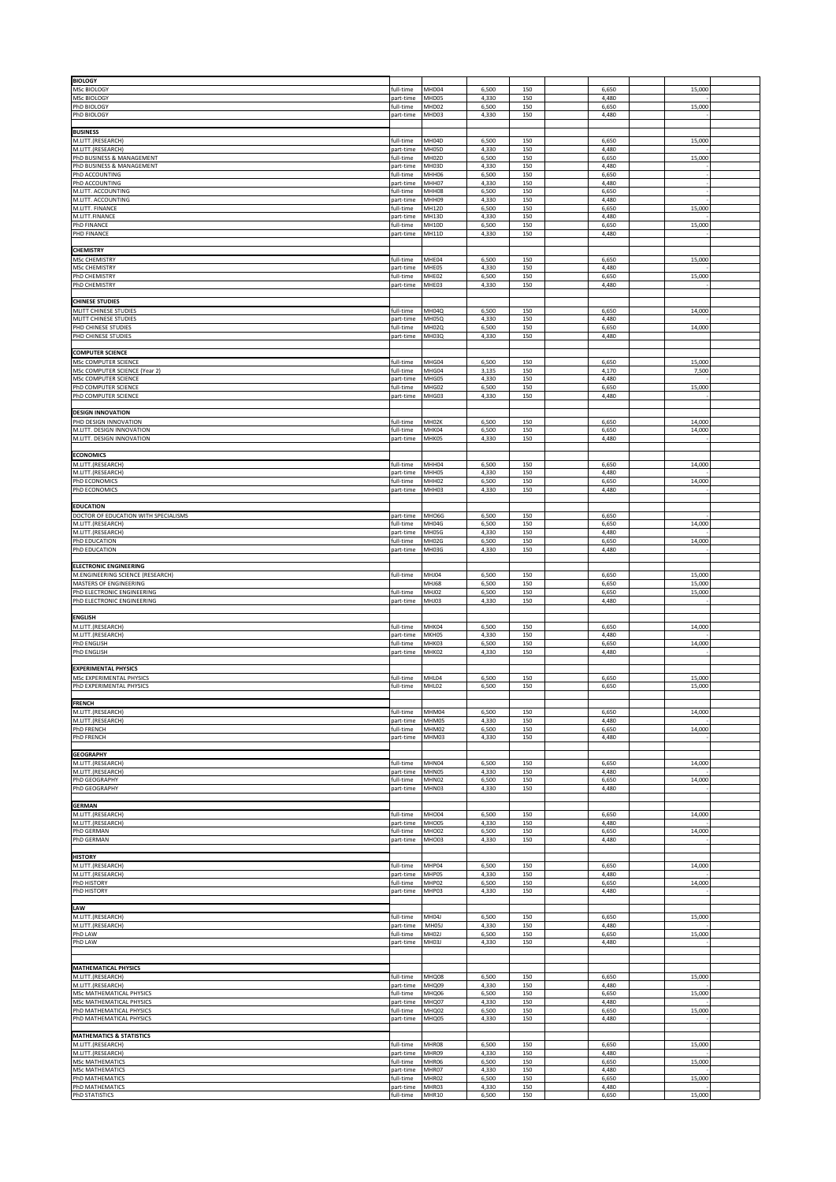| <b>BIOLOGY</b>                                                    |                        |                       |                |            |                |                 |  |
|-------------------------------------------------------------------|------------------------|-----------------------|----------------|------------|----------------|-----------------|--|
| MSc BIOLOGY<br>MSc BIOLOGY                                        | full-time<br>part-time | MHD04<br>MHD05        | 6,500<br>4,330 | 150<br>150 | 6,650<br>4,480 | 15,000          |  |
| PhD BIOLOGY                                                       | full-time              | MHD02                 | 6,500          | 150        | 6,650          | 15,000          |  |
| PhD BIOLOGY                                                       | part-time              | MHD03                 | 4,330          | 150        | 4,480          |                 |  |
| <b>BUSINESS</b><br>M.LITT.(RESEARCH)                              | full-time              | MH04D                 | 6,500          | 150        | 6,650          | 15,000          |  |
| M.LITT.(RESEARCH)                                                 | part-time              | MH05D                 | 4,330          | 150        | 4,480          |                 |  |
| PhD BUSINESS & MANAGEMENT<br>PhD BUSINESS & MANAGEMENT            | full-time<br>part-time | MH02D<br>MH03D        | 6,500<br>4,330 | 150<br>150 | 6,650<br>4,480 | 15,000          |  |
| PhD ACCOUNTING                                                    | full-time              | MHH06                 | 6,500          | 150        | 6,650          |                 |  |
| PhD ACCOUNTING<br>M.LITT. ACCOUNTING                              | part-time<br>full-time | MHH07<br>MHH08        | 4,330<br>6,500 | 150<br>150 | 4,480<br>6,650 |                 |  |
| M.LITT. ACCOUNTING<br>M.LITT. FINANCE                             | part-time<br>full-time | MHH09<br>MH12D        | 4,330<br>6,500 | 150<br>150 | 4,480<br>6,650 | 15,000          |  |
| M.LITT.FINANCE                                                    | part-time              | MH13D                 | 4,330          | 150        | 4,480          |                 |  |
| PhD FINANCE<br><b>PHD FINANCE</b>                                 | full-time<br>part-time | MH10D<br><b>MH11D</b> | 6,500<br>4,330 | 150<br>150 | 6,650<br>4,480 | 15,000          |  |
|                                                                   |                        |                       |                |            |                |                 |  |
| <b>CHEMISTRY</b><br><b>MSc CHEMISTRY</b>                          | full-time              | MHE04                 | 6,500          | 150        | 6,650          | 15,000          |  |
| <b>MSc CHEMISTRY</b><br>PhD CHEMISTRY                             | part-time<br>full-time | MHE05<br>MHE02        | 4,330<br>6,500 | 150<br>150 | 4,480<br>6,650 | 15,000          |  |
| PhD CHEMISTRY                                                     | part-time              | MHE03                 | 4,330          | 150        | 4,480          |                 |  |
| <b>CHINESE STUDIES</b>                                            |                        |                       |                |            |                |                 |  |
| MLITT CHINESE STUDIES                                             | full-time              | MH04Q                 | 6,500          | 150        | 6,650          | 14,000          |  |
| MLITT CHINESE STUDIES<br>PHD CHINESE STUDIES                      | part-time<br>full-time | MH05Q<br>MH02Q        | 4,330<br>6,500 | 150<br>150 | 4,480<br>6,650 | 14,000          |  |
| PHD CHINESE STUDIES                                               | part-time              | MH03Q                 | 4,330          | 150        | 4,480          |                 |  |
| <b>COMPUTER SCIENCE</b>                                           |                        |                       |                |            |                |                 |  |
| MSc COMPUTER SCIENCE<br>MSc COMPUTER SCIENCE (Year 2)             | full-time<br>full-time | MHG04<br>MHG04        | 6,500<br>3,135 | 150<br>150 | 6,650<br>4,170 | 15,000<br>7,500 |  |
| MSc COMPUTER SCIENCE                                              | part-time              | MHG05                 | 4,330          | 150        | 4,480          |                 |  |
| PhD COMPUTER SCIENCE<br>PhD COMPUTER SCIENCE                      | full-time<br>part-time | MHG02<br>MHG03        | 6,500<br>4,330 | 150<br>150 | 6,650<br>4,480 | 15,000          |  |
| <b>DESIGN INNOVATION</b>                                          |                        |                       |                |            |                |                 |  |
| PHD DESIGN INNOVATION                                             | full-time              | MH02K                 | 6,500          | 150        | 6,650          | 14,000          |  |
| M.LITT. DESIGN INNOVATION<br>M.LITT. DESIGN INNOVATION            | full-time<br>part-time | MHK04<br>MHK05        | 6,500<br>4,330 | 150<br>150 | 6,650<br>4,480 | 14,000          |  |
|                                                                   |                        |                       |                |            |                |                 |  |
| <b>ECONOMICS</b><br>M.LITT.(RESEARCH)                             | full-time              | MHH04                 | 6,500          | 150        | 6,650          | 14,000          |  |
| M.LITT.(RESEARCH)<br>PhD ECONOMICS                                | part-time<br>full-time | MHH05<br>MHH02        | 4,330<br>6,500 | 150<br>150 | 4,480<br>6,650 | 14,000          |  |
| PhD ECONOMICS                                                     | part-time              | MHH03                 | 4,330          | 150        | 4,480          |                 |  |
| <b>EDUCATION</b>                                                  |                        |                       |                |            |                |                 |  |
| DOCTOR OF EDUCATION WITH SPECIALISMS                              | part-time              | MHO6G                 | 6,500          | 150        | 6,650          |                 |  |
| M.LITT.(RESEARCH)<br>M.LITT.(RESEARCH)                            | full-time<br>part-time | MH04G<br>MH05G        | 6,500<br>4,330 | 150<br>150 | 6,650<br>4,480 | 14,000          |  |
| PhD EDUCATION                                                     | full-time              | MH02G                 | 6,500          | 150        | 6,650          | 14,000          |  |
| PhD EDUCATION                                                     | part-time              | MH03G                 | 4,330          | 150        | 4,480          |                 |  |
| <b>ELECTRONIC ENGINEERING</b><br>M.ENGINEERING SCIENCE (RESEARCH) | full-time              | MHJ04                 | 6,500          | 150        | 6,650          | 15,000          |  |
| MASTERS OF ENGINEERING                                            |                        | MHJ68                 | 6,500          | 150        | 6,650          | 15,000          |  |
| PhD ELECTRONIC ENGINEERING<br>PhD ELECTRONIC ENGINEERING          | full-time<br>part-time | MHJ02<br>MHJ03        | 6,500<br>4,330 | 150<br>150 | 6,650<br>4,480 | 15,000          |  |
|                                                                   |                        |                       |                |            |                |                 |  |
| <b>ENGLISH</b><br>M.LITT.(RESEARCH)                               | full-time              | MHK04                 | 6,500          | 150        | 6,650          | 14,000          |  |
| M.LITT.(RESEARCH)<br>PhD ENGLISH                                  | part-time<br>full-time | MKH05<br>MHK03        | 4,330<br>6,500 | 150<br>150 | 4,480<br>6,650 | 14,000          |  |
| PhD ENGLISH                                                       | part-time              | MHK02                 | 4,330          | 150        | 4,480          |                 |  |
| <b>EXPERIMENTAL PHYSICS</b>                                       |                        |                       |                |            |                |                 |  |
| MSC EXPERIMENTAL PHYSICS                                          | full-time              | MHL04                 | 6,500          | 150        | 6,650          | 15,000          |  |
| PhD EXPERIMENTAL PHYSICS                                          | full-time              | MHL02                 | 6,500          | 150        | 6,650          | 15,000          |  |
| <b>FRENCI</b>                                                     |                        |                       |                |            |                |                 |  |
| M.LITT.(RESEARCH)<br>M.LITT.(RESEARCH)                            | full-time<br>part-time | MHM04<br>MHM05        | 6,500<br>4,330 | 150<br>150 | 6,650<br>4,480 | 14,000          |  |
| PhD FRENCH<br>PhD FRENCH                                          | full-time<br>part-time | MHM02<br>MHM03        | 6,500<br>4,330 | 150<br>150 | 6,650<br>4,480 | 14,000          |  |
|                                                                   |                        |                       |                |            |                |                 |  |
| <b>GEOGRAPHY</b><br>M.LITT.(RESEARCH)                             | full-time              | MHN04                 | 6,500          | 150        | 6,650          | 14,000          |  |
| M.LITT.(RESEARCH)                                                 | part-time              | MHN05                 | 4,330          | 150        | 4,480          |                 |  |
| PhD GEOGRAPHY<br>PhD GEOGRAPHY                                    | full-time<br>part-time | MHN02<br>MHN03        | 6,500<br>4,330 | 150<br>150 | 6,650<br>4,480 | 14,000          |  |
| <b>GERMAN</b>                                                     |                        |                       |                |            |                |                 |  |
| M.LITT.(RESEARCH)                                                 | full-time              | <b>MHO04</b>          | 6,500          | 150        | 6,650          | 14,000          |  |
| M.LITT.(RESEARCH)<br>PhD GERMAN                                   | part-time<br>full-time | MHO05<br><b>MHO02</b> | 4,330<br>6,500 | 150<br>150 | 4,480<br>6,650 | 14,000          |  |
| PhD GERMAN                                                        | part-time              | MH003                 | 4,330          | 150        | 4,480          |                 |  |
| <b>HISTORY</b>                                                    |                        |                       |                |            |                |                 |  |
| M.LITT.(RESEARCH)<br>M.LITT.(RESEARCH)                            | full-time<br>part-time | MHP04<br>MHP05        | 6,500<br>4,330 | 150<br>150 | 6,650<br>4,480 | 14,000          |  |
| PhD HISTORY                                                       | full-time              | MHP02                 | 6,500          | 150        | 6,650          | 14,000          |  |
| PhD HISTORY                                                       | part-time              | MHP03                 | 4,330          | 150        | 4,480          |                 |  |
| LAW                                                               |                        |                       |                |            |                |                 |  |
| M.LITT.(RESEARCH)<br>M.LITT.(RESEARCH)                            | full-time<br>part-time | MH04J<br>MH05J        | 6,500<br>4,330 | 150<br>150 | 6,650<br>4,480 | 15,000          |  |
| PhD LAW<br>PhD LAW                                                | full-time              | MH02J<br>MH03J        | 6,500          | 150<br>150 | 6,650          | 15,000          |  |
|                                                                   | part-time              |                       | 4,330          |            | 4,480          |                 |  |
| <b>MATHEMATICAL PHYSICS</b>                                       |                        |                       |                |            |                |                 |  |
| M.LITT.(RESEARCH)                                                 | full-time              | MHQ08                 | 6,500          | 150        | 6,650          | 15,000          |  |
| M.LITT.(RESEARCH)<br>MSc MATHEMATICAL PHYSICS                     | part-time<br>full-time | MHQ09<br>MHQ06        | 4,330<br>6,500 | 150<br>150 | 4,480<br>6,650 | 15,000          |  |
| MSc MATHEMATICAL PHYSICS<br>PhD MATHEMATICAL PHYSICS              | part-time<br>full-time | MHQ07<br>MHQ02        | 4,330<br>6,500 | 150<br>150 | 4,480<br>6,650 | 15,000          |  |
| PhD MATHEMATICAL PHYSICS                                          | part-time              | MHQ05                 | 4,330          | 150        | 4,480          |                 |  |
| <b>MATHEMATICS &amp; STATISTICS</b>                               |                        |                       |                |            |                |                 |  |
| M.LITT.(RESEARCH)                                                 | full-time              | MHR08                 | 6,500          | 150        | 6,650          | 15,000          |  |
| M.LITT.(RESEARCH)<br><b>MSc MATHEMATICS</b>                       | part-time<br>full-time | MHR09<br>MHR06        | 4,330<br>6,500 | 150<br>150 | 4,480<br>6,650 | 15,000          |  |
| <b>MSc MATHEMATICS</b><br>PhD MATHEMATICS                         | part-time<br>full-time | MHR07<br>MHR02        | 4,330<br>6,500 | 150<br>150 | 4,480<br>6,650 | 15,000          |  |
| PhD MATHEMATICS                                                   | part-time              | MHR03                 | 4,330          | 150        | 4,480          |                 |  |
| <b>PhD STATISTICS</b>                                             | full-time              | MHR10                 | 6,500          | 150        | 6,650          | 15,000          |  |